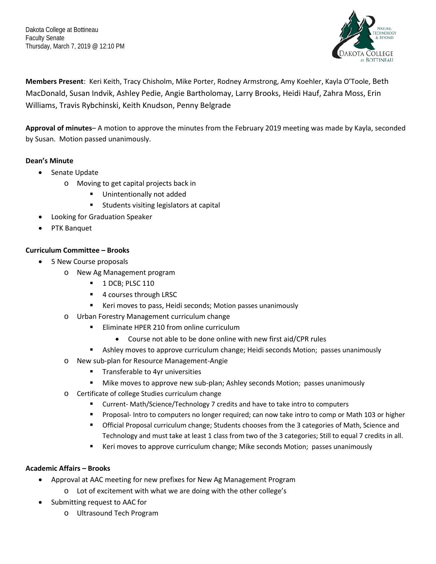Thursday, March 7, 2019 @ 12:10 PM Dakota College at Bottineau Faculty Senate



 MacDonald, Susan Indvik, Ashley Pedie, Angie Bartholomay, Larry Brooks, Heidi Hauf, Zahra Moss, Erin **Members Present**: Keri Keith, Tracy Chisholm, Mike Porter, Rodney Armstrong, Amy Koehler, Kayla O'Toole, Beth Williams, Travis Rybchinski, Keith Knudson, Penny Belgrade

**Approval of minutes**– A motion to approve the minutes from the February 2019 meeting was made by Kayla, seconded by Susan. Motion passed unanimously.

# **Dean's Minute**

- Senate Update
	- o Moving to get capital projects back in
		- Unintentionally not added
		- **EXECUTE:** Students visiting legislators at capital
- Looking for Graduation Speaker
- PTK Banquet

## **Curriculum Committee – Brooks**

- 5 New Course proposals
	- o New Ag Management program
		- $\blacksquare$  1 DCB; PLSC 110
		- 4 courses through LRSC
		- Keri moves to pass, Heidi seconds; Motion passes unanimously
	- o Urban Forestry Management curriculum change
		- **Eliminate HPER 210 from online curriculum** 
			- Course not able to be done online with new first aid/CPR rules
		- **Ashley moves to approve curriculum change; Heidi seconds Motion; passes unanimously**
	- o New sub-plan for Resource Management-Angie
		- **Transferable to 4yr universities**
		- **Mike moves to approve new sub-plan; Ashley seconds Motion; passes unanimously**
	- o Certificate of college Studies curriculum change
		- Current- Math/Science/Technology 7 credits and have to take intro to computers
		- **Proposal- Intro to computers no longer required; can now take intro to comp or Math 103 or higher**
		- **The Official Proposal curriculum change; Students chooses from the 3 categories of Math, Science and** Technology and must take at least 1 class from two of the 3 categories; Still to equal 7 credits in all.
		- **E** Keri moves to approve curriculum change; Mike seconds Motion; passes unanimously

## **Academic Affairs – Brooks**

- Approval at AAC meeting for new prefixes for New Ag Management Program
	- o Lot of excitement with what we are doing with the other college's
- • Submitting request to AAC for
	- o Ultrasound Tech Program